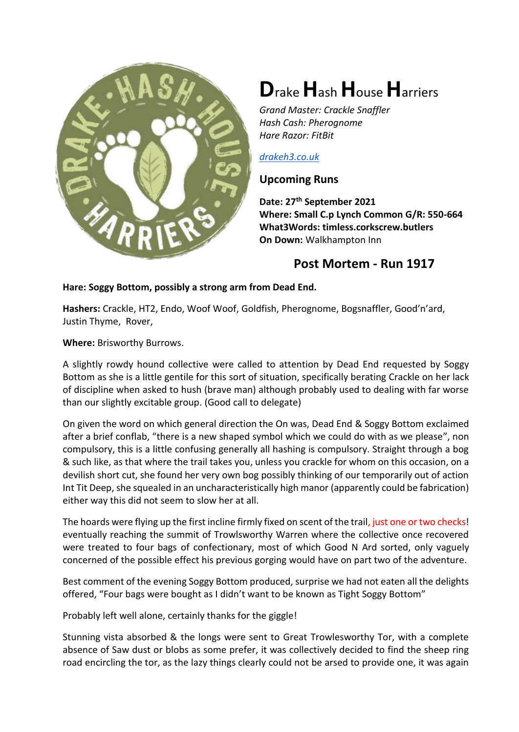

# **D**rake **H**ash **H**ouse **H**arriers

*Grand Master: Crackle Snaffler Hash Cash: Pherognome Hare Razor: FitBit*

#### *[drakeh3.co.uk](http://drakeh3.co.uk/)*

## **Upcoming Runs**

**Date: 27th September 2021 Where: Small C.p Lynch Common G/R: 550-664 What3Words: timless.corkscrew.butlers On Down:** Walkhampton Inn

# **Post Mortem - Run 1917**

### **Hare: Soggy Bottom, possibly a strong arm from Dead End.**

**Hashers:** Crackle, HT2, Endo, Woof Woof, Goldfish, Pherognome, Bogsnaffler, Good'n'ard, Justin Thyme, Rover,

**Where:** Brisworthy Burrows.

A slightly rowdy hound collective were called to attention by Dead End requested by Soggy Bottom as she is a little gentile for this sort of situation, specifically berating Crackle on her lack of discipline when asked to hush (brave man) although probably used to dealing with far worse than our slightly excitable group. (Good call to delegate)

On given the word on which general direction the On was, Dead End & Soggy Bottom exclaimed after a brief conflab, "there is a new shaped symbol which we could do with as we please", non compulsory, this is a little confusing generally all hashing is compulsory. Straight through a bog & such like, as that where the trail takes you, unless you crackle for whom on this occasion, on a devilish short cut, she found her very own bog possibly thinking of our temporarily out of action Int Tit Deep, she squealed in an uncharacteristically high manor (apparently could be fabrication) either way this did not seem to slow her at all.

The hoards were flying up the first incline firmly fixed on scent of the trail, just one or two checks! eventually reaching the summit of Trowlsworthy Warren where the collective once recovered were treated to four bags of confectionary, most of which Good N Ard sorted, only vaguely concerned of the possible effect his previous gorging would have on part two of the adventure.

Best comment of the evening Soggy Bottom produced, surprise we had not eaten all the delights offered, "Four bags were bought as I didn't want to be known as Tight Soggy Bottom"

Probably left well alone, certainly thanks for the giggle!

Stunning vista absorbed & the longs were sent to Great Trowlesworthy Tor, with a complete absence of Saw dust or blobs as some prefer, it was collectively decided to find the sheep ring road encircling the tor, as the lazy things clearly could not be arsed to provide one, it was again